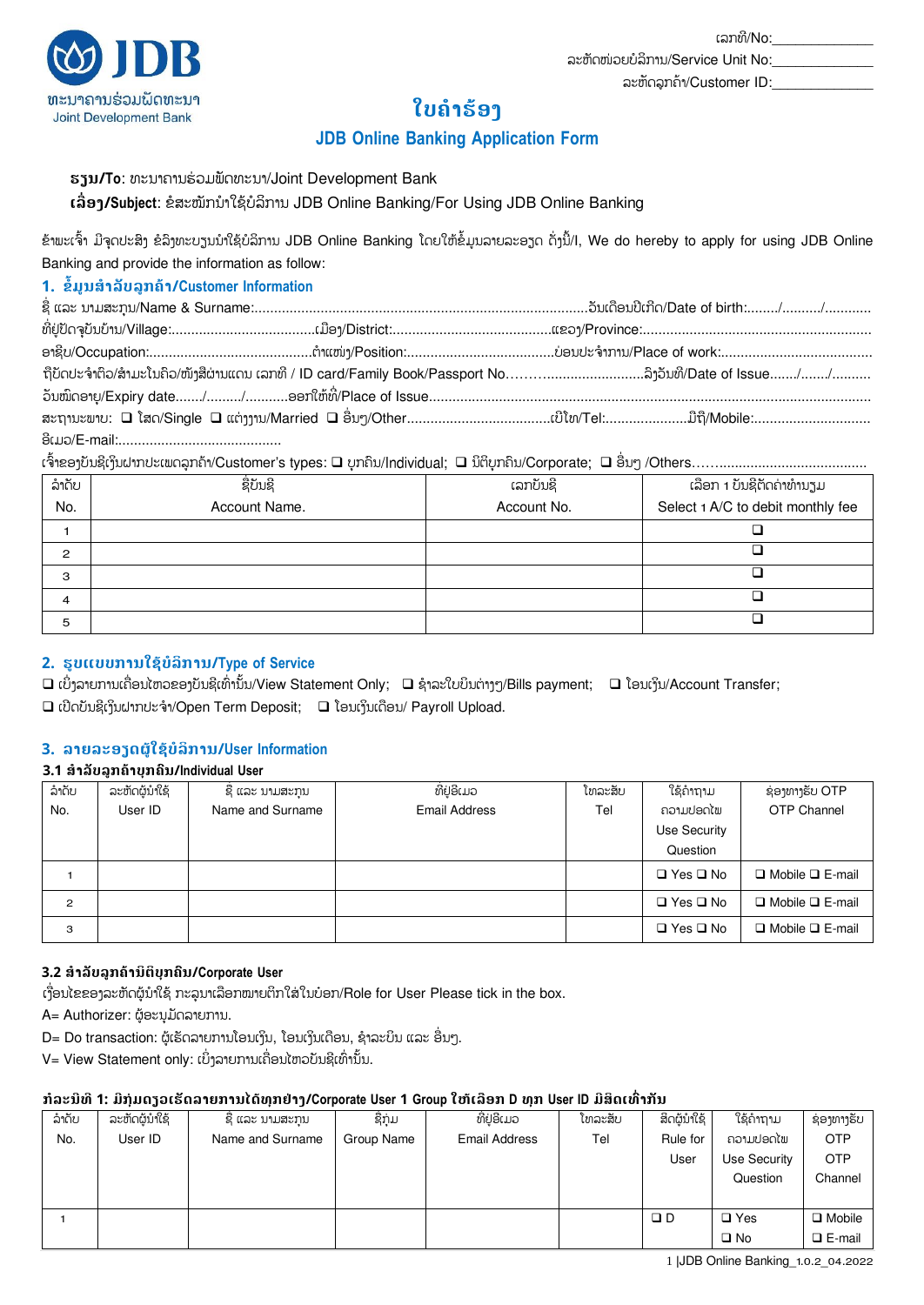

# **ໃບຄຳຮ້ອ**ງ

# **JDB Online Banking Application Form**

### **ອານ/To**: ທະນາຄານຮ່ວມພັດທະນາ/Joint Development Bank

 $t$ ລື່ອາ/Subiect: ຂໍສະໝັກນໍາໃຊ້ບໍລິການ JDB Online Banking/For Using JDB Online Banking

ຂ້າພະເຈົ້າ ມີຈຸດປະສິງ ຂໍລິງທະບຽນນຳໃຊ້ບໍລິການ JDB Online Banking ໂດຍໃຫ້ຂໍ້ມູນລາຍລະອຽດ ດັ່ງນີ້/I, We do hereby to apply for using JDB Online Banking and provide the information as follow:

# **1. ຂໍໍ້ມູນສໍາລັບລູກໟາ/Customer Information**

| ຖືບັດປະຈຳຕົວ/ສາມະໂນຄິວ/ໜ້າສືຜ່ານແດນ ເລກທີ / ID card/Family Book/Passport No…………………………ລິງວັນທີ/Date of Issue……/……./……… |  |  |
|-----------------------------------------------------------------------------------------------------------------------|--|--|
|                                                                                                                       |  |  |
|                                                                                                                       |  |  |
|                                                                                                                       |  |  |

ເຈົ້າຂອງບັນຊີເງິນຝາກປະເພດລູກຄ້າ/Customer's types: ❑ ບຸກຄືນ/Individual; ❑ ນິຕິບຸກຄືນ/Corporate; ❑ ອື່ນໆ /Others……………………………………

| ລຳດັບ          | ຊື່ບັນຊີ      | ເລກບັນຊີ    | <u>ເລືອກ 1 ບັນຊີ</u> ຕິດຄ່າທຳນຽມ  |
|----------------|---------------|-------------|-----------------------------------|
| No.            | Account Name. | Account No. | Select 1 A/C to debit monthly fee |
|                |               |             |                                   |
| $\overline{c}$ |               |             |                                   |
| 3              |               |             |                                   |
| 4              |               |             |                                   |
| 5              |               |             |                                   |

# **2. ອູບບບການໃຆ້ບໍລິການ/Type of Service**

 $\Box$  ເບິ່ງລາຍການເຄື່ອນໄຫວຂອງບັນຊີເທົ່ານັ້ນ/View Statement Only;  $\;\;\Box$  ຊຳລະໃບບິນຕ່າງໆ/Bills payment;  $\;\;\Box$  ໂອນເງິນ/Account Transfer; ໃ  $□$  ເປີດບັນຊີເງິນຝາກປະຈໍາ/Open Term Deposit;  $□$  ໂອນເງິນເດືອນ/ Payroll Upload.

# **3. ລາງລະຬຼຈຜູ້ໃຆ້ບໍລິການ/User Information**

### **3.1 ສໍາລັບລູກໟາບຸກ຺ນ/Individual User**

| ລຳດັບ          | ລະຫັດຜູ້ນໍາໃຊ້ | ຊື່ ແລະ ນາມສະກຸນ | ທີ່ຢູ່ອີເມວ          | ໂທລະສັບ | ໃຊ້ຄຳຖາມ             | ຊ່ອງທາງຮັບ OTP              |
|----------------|----------------|------------------|----------------------|---------|----------------------|-----------------------------|
| No.            | User ID        | Name and Surname | <b>Email Address</b> | Tel     | ຄວາມປອດໄພ            | OTP Channel                 |
|                |                |                  |                      |         | Use Security         |                             |
|                |                |                  |                      |         | Question             |                             |
|                |                |                  |                      |         | $\Box$ Yes $\Box$ No | $\Box$ Mobile $\Box$ E-mail |
| $\overline{c}$ |                |                  |                      |         | $\Box$ Yes $\Box$ No | $\Box$ Mobile $\Box$ E-mail |
| 3              |                |                  |                      |         | $\Box$ Yes $\Box$ No | $\Box$ Mobile $\Box$ E-mail |

# **3.2 ສໍາລັບລູກໟານິຉິບຸກ຺ນ/Corporate User**

ເງື່ອນໄຂຂອງລະຫັດຜູ້ນໍາໃຊ້ ກະລຸນາເລືອກໝາຍຕິກໃສ່ໃນບ໋ອກ/Role for User Please tick in the box.

A= Authorizer: ຜ້ອະນຸມັດລາຍການ.

D= Do transaction: ຜູ້ເຮັດລາຍການໂອນເງິນ, ໂອນເງິນເດືອນ, ຊໍາລະບິນ ແລະ ອື່ນໆ.

V= View Statement only: ເບິ່ງລາຍການເຄື່ອນໄຫວບັນຊີເທົ່ານັ້ນ. ໃ

### **ກໍລະນີທີ1: ມີກຸຸ່ມຈຼວຽອັຈລາງການໄຈ້ທຸກຢຸ່າຄ/Corporate User 1 Group ໃຫ້ຽລືຬກ D ທຸກ User ID ມີສິຈຽທ຺ື່າກັນ**

| ລຳດັບ | ລະຫັດຜູ້ນຳໃຊ້ | ຊີ ແລະ ນາມສະກນ   | ຊື່ກຸ່ມ    | ທີ່ຢ່ອີເມວ    | ໂທລະສັບ | ສິດຜູ້ນຳໃຊ້ | ໃຊ້ຄຳຖາມ     | ຊ່ອງທາງຣັບ    |
|-------|---------------|------------------|------------|---------------|---------|-------------|--------------|---------------|
| No.   | User ID       | Name and Surname | Group Name | Email Address | Tel     | Rule for    | ຄວາມປອດໄພ    | <b>OTP</b>    |
|       |               |                  |            |               |         | User        | Use Security | <b>OTP</b>    |
|       |               |                  |            |               |         |             | Question     | Channel       |
|       |               |                  |            |               |         |             |              |               |
|       |               |                  |            |               |         | $\Box$ D    | $\Box$ Yes   | $\Box$ Mobile |
|       |               |                  |            |               |         |             | $\square$ No | $\Box$ E-mail |

1 |JDB Online Banking\_1.0.2\_04.2022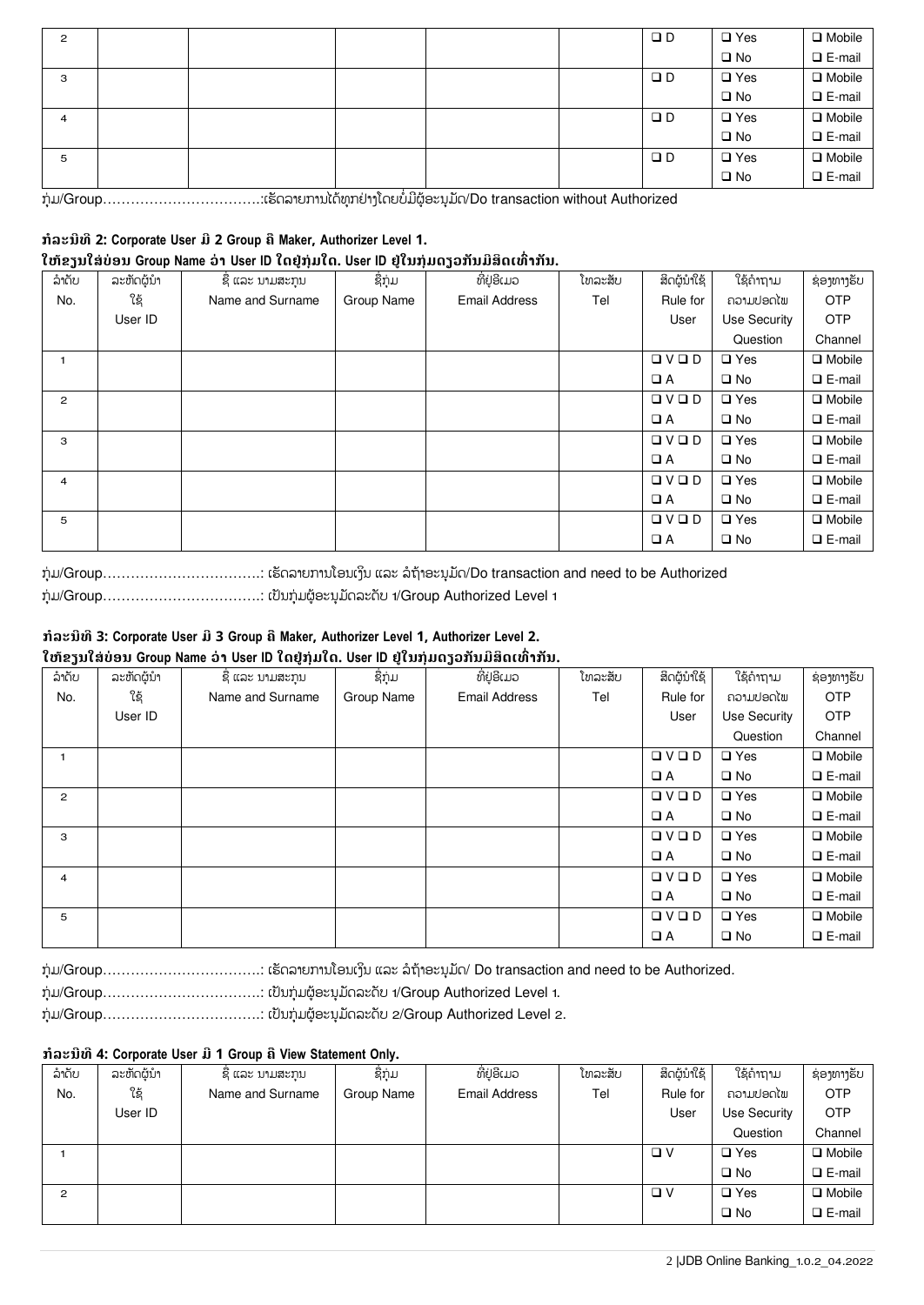| $\overline{c}$ |  |  | $\Box$ D | $\square$ Yes | $\Box$ Mobile |
|----------------|--|--|----------|---------------|---------------|
|                |  |  |          | $\square$ No  | $\Box$ E-mail |
| 3              |  |  | $\Box$ D | $\square$ Yes | $\Box$ Mobile |
|                |  |  |          | $\square$ No  | $\Box$ E-mail |
| 4              |  |  | $\Box$ D | $\square$ Yes | $\Box$ Mobile |
|                |  |  |          | $\square$ No  | $\Box$ E-mail |
| 5              |  |  | $\Box$ D | $\square$ Yes | $\Box$ Mobile |
|                |  |  |          | $\square$ No  | $\Box$ E-mail |

ກຸ່ມ/Group………………………………..ເຮັດລາຍການໄດ້ທຸກຢ່າງໂດຍບໍ່ມີຜູ້ອະນຸມັດ/Do transaction without Authorized

# **ກໍລະນີທີ2: Corporate User ມີ2 Group ືMaker, Authorizer Level 1.**

# **ໃຫ້ຂຼນໃສຸ່ບໞຬນ Group Name ວໞາ User ID ໃຈຢູຸ່ກຸຸ່ມໃຈ. User ID ຢູຸ່ໃນກຸຸ່ມຈຼວກັນມີສິຈຽທ຺ື່າກັນ.**

| ລໍາດັບ         | ລະຫັດຜູ້ນຳ | ຊື່ ແລະ ນາມສະກຸນ | ຊື່ກຸ່ມ    | ທີ່ຢູ່ອີເມວ          | ໂທລະສັບ | ສິດຜູ້ນຳໃຊ້          | ใຊ້ຄຳຖາມ      | ຊ່ອງທາງຮັບ    |
|----------------|------------|------------------|------------|----------------------|---------|----------------------|---------------|---------------|
| No.            | ใຊ້        | Name and Surname | Group Name | <b>Email Address</b> | Tel     | Rule for             | ຄວາມປອດໄພ     | <b>OTP</b>    |
|                | User ID    |                  |            |                      |         | User                 | Use Security  | <b>OTP</b>    |
|                |            |                  |            |                      |         |                      | Question      | Channel       |
|                |            |                  |            |                      |         | QVQD                 | $\square$ Yes | $\Box$ Mobile |
|                |            |                  |            |                      |         | $\Box$ A             | $\square$ No  | $\Box$ E-mail |
| $\overline{c}$ |            |                  |            |                      |         | $\Box \lor \Box \ D$ | $\square$ Yes | $\Box$ Mobile |
|                |            |                  |            |                      |         | $\Box A$             | $\square$ No  | $\Box$ E-mail |
| З              |            |                  |            |                      |         | $\Box \lor \Box \ D$ | $\square$ Yes | $\Box$ Mobile |
|                |            |                  |            |                      |         | $\Box A$             | $\square$ No  | $\Box$ E-mail |
| 4              |            |                  |            |                      |         | QVQD                 | $\Box$ Yes    | $\Box$ Mobile |
|                |            |                  |            |                      |         | $\Box$ A             | $\square$ No  | $\Box$ E-mail |
| 5              |            |                  |            |                      |         | $\Box \lor \Box \ D$ | $\square$ Yes | $\Box$ Mobile |
|                |            |                  |            |                      |         | $\Box$ A             | $\square$ No  | $\Box$ E-mail |

ກຸ່ມ/Group…………………………………. ເຮັດລາຍການໂອນເງິນ ແລະ ລໍຖ້າອະນຸມັດ/Do transaction and need to be Authorized ກໃ ຸຓ/Group…………………………….: ຽຎັຌກໃ ຸຓຏູຬໄ ະຌຸຓຈັລະຈຍັ 1/Group Authorized Level 1

### **ກໍລະນີທີ3: Corporate User ມີ3 Group ືMaker, Authorizer Level 1, Authorizer Level 2. ໃຫ້ຂຼນໃສຸ່ບໞຬນ Group Name ວໞາ User ID ໃຈຢູຸ່ກຸຸ່ມໃຈ. User ID ຢູຸ່ໃນກຸຸ່ມຈຼວກັນມີສິຈຽທ຺ື່າກັນ.**

| ລຳດັບ          | ລະຫັດຜູ້ນຳ | ຊື່ ແລະ ນາມສະກຸນ | ຊື່ກຸ່ມ    | ທີ່ຢູ່ອີເມວ          | ໂທລະສັບ | ສິດຜູ້ນຳໃຊ້          | ໃຊ້ຄຳຖາມ      | ຊ່ອງທາງຮັບ     |
|----------------|------------|------------------|------------|----------------------|---------|----------------------|---------------|----------------|
| No.            | ໃຊ້        | Name and Surname | Group Name | <b>Email Address</b> | Tel     | Rule for             | ຄວາມປອດໄພ     | <b>OTP</b>     |
|                | User ID    |                  |            |                      |         | User                 | Use Security  | <b>OTP</b>     |
|                |            |                  |            |                      |         |                      | Question      | Channel        |
|                |            |                  |            |                      |         | QVQD                 | $\square$ Yes | $\Box$ Mobile  |
|                |            |                  |            |                      |         | $\Box A$             | $\square$ No  | $\Box$ E-mail  |
| $\overline{2}$ |            |                  |            |                      |         | QVQD                 | $\square$ Yes | $\Box$ Mobile  |
|                |            |                  |            |                      |         | $\Box$ A             | $\square$ No  | $\Box$ E-mail  |
| З              |            |                  |            |                      |         | $\Box \lor \Box \ D$ | $\square$ Yes | $\Box$ Mobile  |
|                |            |                  |            |                      |         | $\Box A$             | $\square$ No  | $\Box$ E-mail  |
| 4              |            |                  |            |                      |         | QVQD                 | $\square$ Yes | $\Box$ Mobile  |
|                |            |                  |            |                      |         | $\Box A$             | $\square$ No  | $\Box$ E-mail  |
| 5              |            |                  |            |                      |         | QVQD                 | $\square$ Yes | $\Box$ Mobile  |
|                |            |                  |            |                      |         | $\Box A$             | $\square$ No  | $\n  E-mail\n$ |

ກຸ່ມ/Group…………………………………. ເຮັດລາຍການໂອນເງິນ ແລະ ລໍຖ້າອະນຸມັດ/ Do transaction and need to be Authorized.

ກໃ ຸຓ/Group…………………………….: ຽຎັຌກໃ ຸຓຏູຬໄ ະຌຸຓຈັລະຈຍັ 1/Group Authorized Level 1.

ກຸ່ມ/Group……………………………………..: ເປັນກຸ່ມຜູ້ອະນຸມັດລະດັບ 2/Group Authorized Level 2.

### **ກໍລະນີທີ4: Corporate User ມີ1 Group ືView Statement Only.**

| ລຳດັບ          | ລະຫັດຜູ້ນຳ | ຊີ ແລະ ນາມສະກຸນ  | ຊື່ກຸ່ມ    | ທີ່ຢູ່ອີເມວ          | ໂທລະສັບ | ສິດຜູ້ນຳໃຊ້ | ໃຊ້ຄຳຖາມ      | ຊ່ອງທາງຮັບ       |
|----------------|------------|------------------|------------|----------------------|---------|-------------|---------------|------------------|
| No.            | ໃຊ້        | Name and Surname | Group Name | <b>Email Address</b> | Tel     | Rule for    | ຄວາມປອດໄພ     | <b>OTP</b>       |
|                | User ID    |                  |            |                      |         | User        | Use Security  | <b>OTP</b>       |
|                |            |                  |            |                      |         |             | Question      | Channel          |
|                |            |                  |            |                      |         | $\Box$ $V$  | $\square$ Yes | $\Box$ Mobile    |
|                |            |                  |            |                      |         |             | $\square$ No  | $\square$ E-mail |
| $\overline{c}$ |            |                  |            |                      |         | $\Box$ $V$  | $\square$ Yes | $\Box$ Mobile    |
|                |            |                  |            |                      |         |             | $\square$ No  | $\n  E-mail\n$   |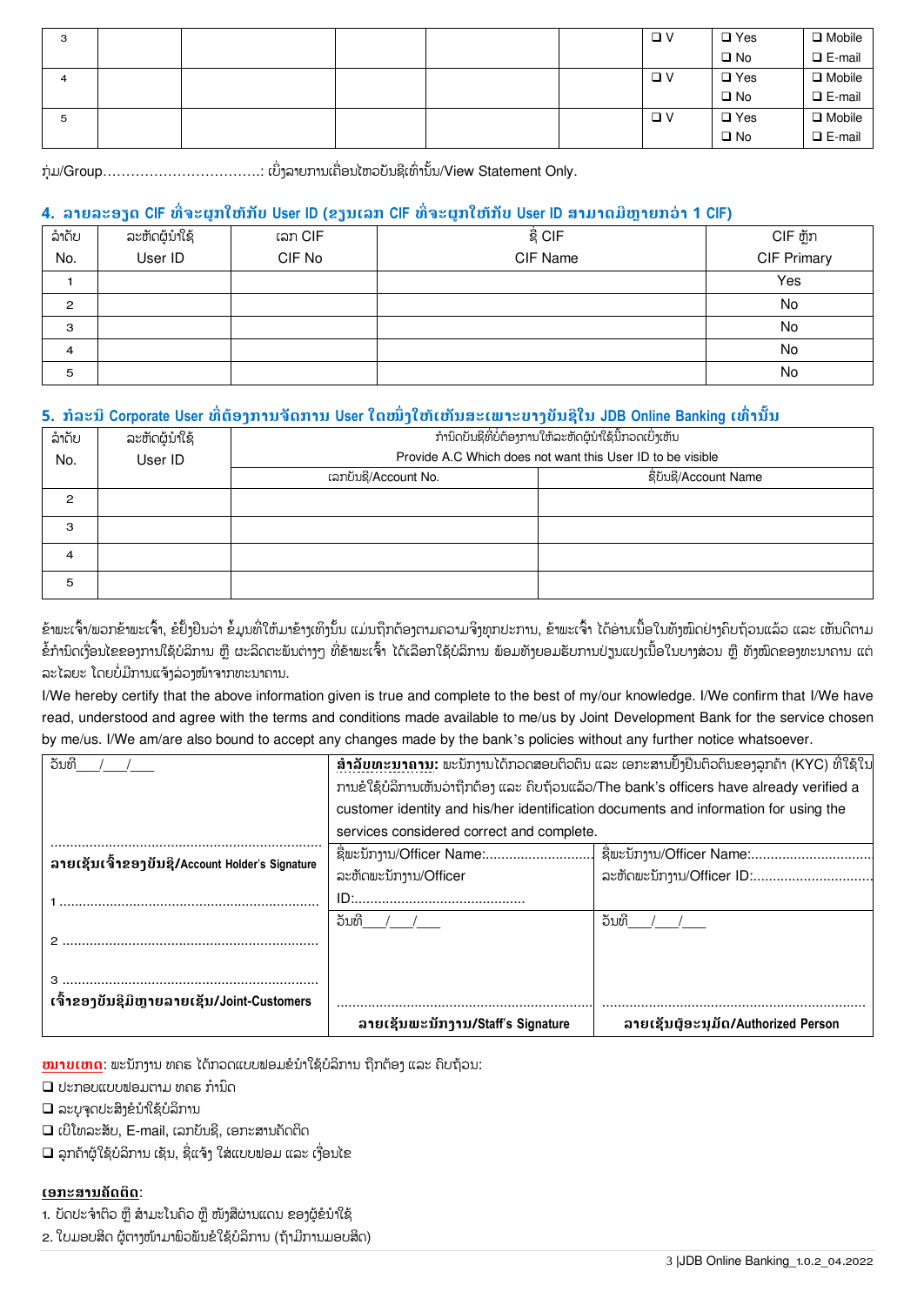| з |  |  | $\Box$ $V$ | $\square$ Yes | $\Box$ Mobile    |
|---|--|--|------------|---------------|------------------|
|   |  |  |            | $\square$ No  | $\n  E-mail\n$   |
| 4 |  |  | $\Box$ $V$ | $\square$ Yes | $\Box$ Mobile    |
|   |  |  |            | $\square$ No  | $\square$ E-mail |
| 5 |  |  | $\Box$ $V$ | $\square$ Yes | $\Box$ Mobile    |
|   |  |  |            | $\square$ No  | $\Box$ E-mail    |

ກຸ່ມ/Group………………………………… ເບິ່ງລາຍການເຄື່ອນໄຫວບັນຊີເທົ່ານັ້ນ/View Statement Only. ໃ

# **4. ລາງລະຬຼຈ CIF ທີື່ະຜູກໃຫ້ກັບ User ID (ຂຼນຽລກ CIF ທີື່ະຜູກໃຫ້ກັບ User ID ສາມາຈມີຫົາງກວໞາ 1 CIF)**

| ລໍາດັບ         | ລະຫັດຜູ້ນໍາໃຊ້ | ເລກ CIF | ຊື່ CIF  | CIF ຫຼັກ    |
|----------------|----------------|---------|----------|-------------|
| No.            | User ID        | CIF No  | CIF Name | CIF Primary |
|                |                |         |          | Yes         |
| $\overline{c}$ |                |         |          | No          |
| 3              |                |         |          | No          |
| 4              |                |         |          | No          |
| 5              |                |         |          | No          |

# **5. ກໍລະນີCorporate User ທີື່ຉໟຬຄການັຈການ User ໃຈໜຶື່ຄໃຫ້ຽຫັນສະຽພາະບາຄບັນຆີໃນ JDB Online Banking ຽທ຺ື່ານັໍ້ນ**

| ລຳດັບ<br>No. | ລະຫັດຜູ້ນຳໃຊ້<br>User ID | ກຳນິດບັນຊີທີ່ບໍ່ຕ້ອງການໃຫ້ລະຫັດຜູ້ນຳໃຊ້ນີ້ກວດເບິ່ງເຫັນ<br>Provide A.C Which does not want this User ID to be visible |                       |  |  |
|--------------|--------------------------|----------------------------------------------------------------------------------------------------------------------|-----------------------|--|--|
|              |                          | ເລກບັນຊີ/Account No.                                                                                                 | ຊື່ບັນຊີ/Account Name |  |  |
| 2            |                          |                                                                                                                      |                       |  |  |
| 3            |                          |                                                                                                                      |                       |  |  |
| 4            |                          |                                                                                                                      |                       |  |  |
| 5            |                          |                                                                                                                      |                       |  |  |

ຂ້າພະເຈົ້າ/ພວກຂ້າພະເຈົ້າ, ຂໍຢັ້ງຢືນວ່າ ຂໍ້ມູນທີ່ໃຫ້ມາຂ້າງເທິງນັ້ນ ແມ່ນຖືກຕ້ອງຕາມຄວາມຈິງທຸກປະການ, ຂ້າພະເຈົ້າ ໄດ້ອ່ານເນື້ອໃນທັງໜົດຢ່າງຄືບຖ້ວນແລ້ວ ແລະ ເຫັນດີຕາມ ຂໍ້ກຳນົດເງື່ອນໄຂຂອງການໃຊ້ບໍລິການ ຫຼື ຜະລິດຕະພັນຕ່າງໆ ທີ່ຂ້າພະເຈົ້າ ໄດ້ເລືອກໃຊ້ບໍລິການ ພ້ອມທັງຍອມຮັບການປ່ຽນແປງເນື້ອໃນບາງສ່ວນ ຫຼື ທັງໝົດຂອງທະນາຄານ ແຕ່ ລະໄລຍະ ໂດຍບໍ່ມີການແຈ້ງລ່ວງໜ້າຈາກທະນາຄານ.

I/We hereby certify that the above information given is true and complete to the best of my/our knowledge. I/We confirm that I/We have read, understood and agree with the terms and conditions made available to me/us by Joint Development Bank for the service chosen by me/us. I/We am/are also bound to accept any changes made by the bank's policies without any further notice whatsoever.

| ້ວນທີ                                          |                                                                                           | <u> ສຳລັບທະນາຄານ</u> : ພະນັກງານໄດ້ກວດສອບຕິວຕິນ ແລະ ເອກະສານຢັ້ງຢືນຕິວຕິນຂອງລູກຄ້າ (KYC) ທີ່ໃຊ້ໃນ |  |  |  |
|------------------------------------------------|-------------------------------------------------------------------------------------------|-------------------------------------------------------------------------------------------------|--|--|--|
|                                                | ການຂໍໃຊ້ບໍລິການເຫັນວ່າຖືກຕ້ອງ ແລະ ຄືບຖ້ວນແລ້ວ/The bank's officers have already verified a |                                                                                                 |  |  |  |
|                                                | customer identity and his/her identification documents and information for using the      |                                                                                                 |  |  |  |
|                                                | services considered correct and complete.                                                 |                                                                                                 |  |  |  |
| ลายเຊับเจ๊าຂອງขับຊิ/Account Holder's Signature |                                                                                           |                                                                                                 |  |  |  |
|                                                | ລະຫັດພະນັກງານ/Officer                                                                     | ລະຫັດພະນັກງານ/Officer ID:                                                                       |  |  |  |
|                                                |                                                                                           |                                                                                                 |  |  |  |
|                                                | ້ວນທີ                                                                                     | ົວນທ                                                                                            |  |  |  |
|                                                |                                                                                           |                                                                                                 |  |  |  |
|                                                |                                                                                           |                                                                                                 |  |  |  |
|                                                |                                                                                           |                                                                                                 |  |  |  |
| ເຈົ້າຂອງບັນຊີມີຫຼາຍລາຍເຊັນ/Joint-Customers     |                                                                                           |                                                                                                 |  |  |  |
|                                                | ี ลายเຊັบพะบัภาาบ/Staff's Signature                                                       | ລາຍເຊັນຜູ້ອະນຸມັດ/Authorized Person                                                             |  |  |  |

<mark>ໝາບເຫດ</mark>: ພະນັກງານ ທຄຣ ໄດ້ກວດແບບຟອມຂໍນໍາໃຊ້ບໍລິການ ຖືກຕ້ອງ ແລະ ຄີບຖ້ວນ:

- $\square$  ປະກອບແບບຟອມຕາມ ທຄຣ ກຳນົດ
- $\square$  ລະບຸຈຸດປະສິງຂໍນໍາໃຊ້ບໍລິການ
- $\square$  ເບີໂທລະສັບ, E-mail, ເລກບັນຊີ, ເອກະສານຄັດຕິດ
- $\Box$  ລູກຄ້າຜູ້ໃຊ້ບໍລິການ ເຊັນ, ຊື່ແຈ້ງ ໃສ່ແບບຟອມ ແລະ ເງື່ອນໄຂ

### **ຽຬກະສານັຈຉິຈ**:

- 1. ບັດປະຈຳຕິວ ຫຼື ສຳມະໂນຄິວ ຫຼື ໜ້າສືຜ່ານແດນ ຂອງຜູ້ຂໍນຳໃຊ້
- 2. ໃບມອບສິດ ຜູ້ຕາງໜ້າມາຟົວຟັນຂໍໃຊ້ບໍລິການ (ຖ້າມີການມອບສິດ)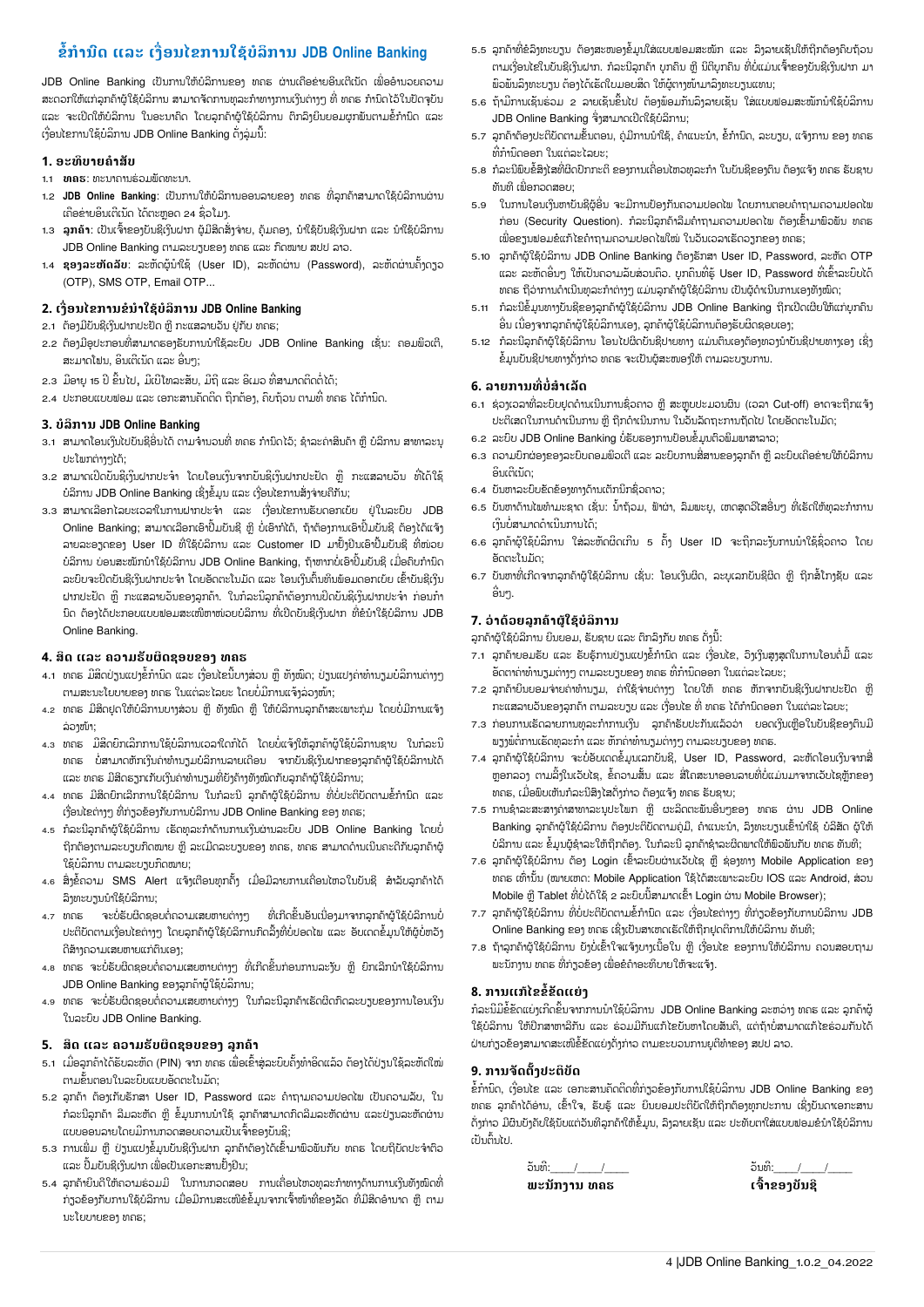# **ຂໍໍ້ກໍານ຺ຈ ລະ ຽຄືື່ຬນໄຂການໃຆ້ບໍລິການ JDB Online Banking**

JDB Online Banking ເປັນການໃຫ້ບໍລິການຂອງ ທຄຣ ຜ່ານເຄືອຂ່າຍອິນເຕີເນັດ ເພື່ອອຳນວຍຄວາມ ສະດວກໃຫ້ແກ່ລຸກຄ້າຜູ້ໃຊ້ບໍລິການ ສາມາດຈັດການທຸລະກຳທາງການເງິນຕ່າງໆ ທີ່ ທຄຣ ກຳນົດໄວ້ໃນປັດຈຸບັນ ແລະ ຈະເປີດໃຫ້ບໍລິການ ໃນອະນາຄິດ ໂດຍລູກຄ້າຜູ້ໃຊ້ບໍລິການ ຕຶກລຶງຍິນຍອມຜູກພັນຕາມຂໍ້ກຳນົດ ແລະ ເງື່ອນໄຂການໃຊ້ບໍລິການ JDB Online Banking ດັ່ງລຸ່ມນີ້:

#### **1. ຬະທິບາງໍາສັບ**

- 1.1 **ທas**: ທະນາຄານຮ່ວມພັດທະນາ.
- 1.2 **JDB Online Banking**: ເປັນການໃຫ້ບໍລິການອອນລາຍຂອງ ທຄຣ ທີ່ລຸກຄ້າສາມາດໃຊ້ບໍລິການຜ່ານ ເຄືອຂ່າຍອິນເຕີເນັດ ໄດ້ຕະຫຼອດ 24 ຊົ່ວໂມງ.
- 1.3 **ລູກຄ້າ**: ເປັນເຈົ້າຂອງບັນຊີເງິນຝາກ ຜູ້ມີສິດສັ່ງຈ່າຍ, ຄຸ້ມຄອງ, ນໍາໃຊ້ບັນຊີເງິນຝາກ ແລະ ນໍາໃຊ້ບໍລິການ JDB Online Banking ຕາມລະບຽບຂອງ ທຄຣ ແລະ ກົດໝາຍ ສປປ ລາວ.
- 1.4 **ຊອງລະຫັດລັບ**: ລະຫັດຜູ້ນໍາໃຊ້ (User ID), ລະຫັດຜ່ານ (Password), ລະຫັດຜ່ານຄັ້ງດຽວ (OTP), SMS OTP, Email OTP...

### **2. ຽຄືື່ຬນໄຂການຂໍນໍາໃຆ້ບໍລິການ JDB Online Banking**

- 2.1 ຕ້ອງມີບັນຊີເງິນຝາກປະຢັດ ຫຼື ກະແສລາຍວັນ ຢູ່ກັບ ທຄຣ;
- 2.2 ຕ້ອງມີອຸປະກອນທີ່ສາມາດຮອງຮັບການນໍາໃຊ້ລະບົບ JDB Online Banking ເຊັ່ນ: ຄອມພິວເຕີ, ສະມາດໂຟນ, ອິນເຕີເນັດ ແລະ ອື່ນໆ;
- 2.3 ມີອາຍຸ 15 ປີ ຂຶ້ນໄປ, ມີເປີໂທລະສັບ, ມືຖື ແລະ ອິເມວ ທີ່ສາມາດຕິດຕໍ່ໄດ້;
- 2.4 ປະກອບແບບຟອມ ແລະ ເອກະສານຄັດຕິດ ຖືກຕ້ອງ, ຄືບຖ້ວນ ຕາມທີ່ ທຄຮ ໄດ້ກຳນົດ.

#### **3. ບໍລິການ JDB Online Banking**

- 3.1 ສາມາດໂອນເງິນໄປບັນຊີອື່ນໄດ້ ຕາມຈຳນວນທີ່ ທຄຮ ກຳນິດໄວ້; ຊຳລະຄ່າສິນຄ້າ ຫຼື ບໍລິການ ສາທາລະນຸ ະໂພກຕ່າງໆໄດ້
- 3.2 ສາມາດເປີດບັນຊີເງິນຝາກປະຈຳ ໂດຍໂອນເງິນຈາກບັນຊີເງິນຝາກປະຢັດ ຫຼື ກະແສລາຍວັນ ທີ່ໄດ້ໃຊ້ ບໍລິການ JDB Online Banking ເຊິ່ງຂໍ້ມູນ ແລະ ເງື່ອນໄຂການສັ່ງຈ່າຍຄືກັນ; ່
- 3.3 ສາມາດເລືອກໄລຍະເວລາໃນການຝາກປະຈຳ ແລະ ເງື່ອນໄຂການຮັບດອກເບ້ຍ ຢູ່ໃນລະບົບ JDB Online Banking; ສາມາດເລືອກເອົາປຶ້ມບັນຊີ ຫຼື ບໍ່ເອົາກໍໄດ້, ຖ້າຕ້ອງການເອົາປຶ້ມບັນຊີ ຕ້ອງໄດ້ແຈ້ງ ໃ ລາຍລະອຽດຂອງ User ID ທີ່ໃຊ້ບໍລິການ ແລະ Customer ID ມາຢັ້ງຢືນເອົາປື້ມບັນຊີ ທີ່ໜ່ວຍ ບໍລິການ ບ່ອນສະໜັກນຳໃຊ້ບໍລິການ JDB Online Banking, ຖ້າຫາກບໍ່ເອົາປຶ້ມບັນຊີ ເມື່ອຄືບກຳນົດ ໃ ລະບົບຈະບີດບັນຊີເງິນຝາກປະຈຳ ໂດຍອັດຕະໂນມັດ ແລະ ໂອນເງິນຕົ້ນທຶນພ້ອມດອກເບ້ຍ ເຂົ້າບັນຊີເງິນ ຝາກປະຢັດ ຫຼື ກະແສລາຍວັນຂອງລູກຄ້າ. ໃນກໍລະນີລຸກຄ້າຕ້ອງການປິດບັນຊີເງິນຝາກປະຈຳ ກ່ອນກຳ ນິດ ຕ້ອງໄດ້ປະກອບແບບຟອມສະເໜີຫາໜ່ວຍບໍລິການ ທີ່ເປີດບັນຊີເງິນຝາກ ທີ່ຂໍນຳໃຊ້ບໍລິການ JDB ່ Online Banking.

#### $4.$  ສິດ ແລະ ຄວາມຮັບຜິດຊອບຂອງ ທຄຣ

- 4.1 ທຄຮ ມີສິດປ່ຽນແປງຂໍ້ກຳນິດ ແລະ ເງື່ອນໄຂນີ້ບາງສ່ວນ ຫຼື ທັງໝິດ; ປ່ຽນແປງຄ່າທຳນຽມບໍລິການຕ່າງໆ ຕາມສະນະໂຍບາຍຂອງ ທຄຣ ໃນແຕ່ລະໄລຍະ ໂດຍບໍ່ມີການແຈ້ງລ່ວງໜ້າ;
- 4.2 ທຄຮ ມີສິດຢຸດໃຫ້ບໍລິການບາງສ່ວນ ຫຼື ທັງໜິດ ຫຼື ໃຫ້ບໍລິການລຸກຄ້າສະເພາະກຸ່ມ ໂດຍບໍ່ມີການແຈ້ງ ລ່ວງໜ້າ;
- 4.3 ທຄຮ ມີສິດຍິກເລີກການໃຊ້ບໍລິການເວລາໃດກໍໄດ້ ໂດຍບໍ່ແຈ້ງໃຫ້ລຸກຄ້າຜູ້ໃຊ້ບໍລິການຊາບ ໃນກໍລະນີ ທຄຣ ບໍ່ສາມາດຫັກເງິນຄ່າທຳນຽມບໍລິການລາຍເດືອນ ຈາກບັນຊີເງິນຝາກຂອງລຸກຄ້າຜູ້ໃຊ້ບໍລິການໄດ້ ແລະ ທຄຣ ມີສິດຮຽກເກັບເງິນຄ່າທໍານຽມທີ່ຍັງຄ້າງທັງໜິດກັບລຸກຄ້າຜູ້ໃຊ້ບໍລິການ;
- 4.4 ທຄຮ ມີສິດຍິກເລີກການໃຊ້ບໍລິການ ໃນກໍລະນີ ລຸກຄ້າຜູ້ໃຊ້ບໍລິການ ທີ່ບໍ່ປະຕິບັດຕາມຂໍ້ກໍານິດ ແລະ ເງື່ອນໄຂຕ່າງໆ ທີ່ກ່ຽວຂ້ອງກັບການບໍລິການ JDB Online Banking ຂອງ ທຄຣ;
- 4.5 ກໍລະນີລູກຄ້າຜູ້ໃຊ້ບໍລິການ ເຮັດທຸລະກຳດ້ານການເງິນຜ່ານລະບິບ JDB Online Banking ໂດຍບໍ່ ໃ ຖືກຕ້ອງຕາມລະບຽບກິດໝາຍ ຫື ລະເມີດລະບຽບຂອງ ທຄຮ, ທຄຮ ສາມາດດໍານເນີນຄະດີກັບລກຄ້າຜ້ ໃຂ້ບໍລິການ ຕາມລະບາບກົດໝາຍ:
- 4.6 ສິ່ງຂໍ້ຄວາມ SMS Alert ແຈ້ງເຕືອນທຸກຄັ້ງ ເມື່ອມີລາຍການເຄື່ອນໄຫວໃນບັນຊີ ສຳລັບລຸກຄ້າໄດ້ ລິງທະບຽນນຳໃຊ້ບໍລິການ;
- $4.7$   $10.55$ ່ເຮັບຜິດຊອບຕໍ່ຄວາມເສຍຫາຍຕ່າງໆ ທີ່ເກີດຂຶ້ນອັນເນື່ອງມາຈາກລຸກຄ້າຜູ້ໃຊ້ບໍລິການບໍ່ ໃ ່ ປະຕິບັດຕາມເງື່ອນໄຂຕ່າງໆ ໂດຍລຸກຄ້າຜູ້ໃຊ້ບໍລິການກົດລິ້ງທີ່ບໍ່ປອດໄພ ແລະ ອັບເດດຂໍ້ມຸນໃຫ້ຜູ້ບໍ່ຫວັງ ດີສ້າງຄວາມເສຍຫາຍແກ່ຕິນເອງ;
- 4.8 ທຄຣ ຈະບໍ່ຮັບຜິດຊອບຕໍ່ຄວາມເສຍຫາຍຕ່າງໆ ທີ່ເກີດຂຶ້ນກ່ອນການລະງັບ ຫຼື ຍິກເລີກນຳໃຊ້ບໍລິການ ໃ JDB Online Banking ຂອງລຸກຄ້າຜູ້ໃຊ້ບໍລິການ;
- 4.9 ທຄຮ ຈະບໍ່ຮັບຜິດຊອບຕໍ່ຄວາມເສຍຫາຍຕ່າງໆ ໃນກໍລະນີລຸກຄ້າເຮັດຜິດກິດລະບຽບຂອງການໂອນເງິນ ໃນລະບົບ JDB Online Banking.

#### **5. ສິຈ ລະ ວາມອັບຜິຈຆຬບຂຬຄ ລູກໟາ**

- 5.1 ເມື່ອລຸກຄ້າໄດ້ຮັບລະຫັດ (PIN) ຈາກ ທຄຮ ເພື່ອເຂົ້າສຸ່ລະບົບຄັ້ງທຳອິດແລ້ວ ຕ້ອງໄດ້ປ່ຽນໃຊ້ລະຫັດໃໝ່ ຕາມຂັ້ນຕອນໃນລະບົບແບບອັດຕະໂນມັດ;
- 5.2 ລູກຄ້າ ຕ້ອງເກັບຮັກສາ User ID, Password ແລະ ຄຳຖາມຄວາມປອດໄພ ເປັນຄວາມລັບ, ໃນ ກໍລະນີລຸກຄ້າ ລືມລະຫັດ ຫຼື ຂໍ້ມຸນການນຳໃຊ້ ລຸກຄ້າສາມາດກິດລືມລະຫັດຜ່ານ ແລະປ່ຽນລະຫັດຜ່ານ ແບບອອນລາຍໂດຍມີການກວດສອບຄວາມເປັນເຈົ້າຂອງບັນຊີ;
- 5.3 ການເພີ່ມ ຫຼື ປ່ຽນແປງຂໍ້ມູນບັນຊີເງິນຝາກ ລຸກຄ້າຕ້ອງໄດ້ເຂົ້າມາພົວພັນກັບ ທຄຮ ໂດຍຖືບັດປະຈຳຕົວ ແລະ ປື້ມບັນຊີເງິນຝາກ ເພື່ອເປັນເອກະສານຢັ້ງຢືນ;
- 5.4 ລຸກຄ້າຍິນດີໃຫ້ຄວາມຮ່ວມມື ໃນການກວດສອບ ການເຄື່ອນໄຫວທຸລະກຳທາງດ້ານການເງິນທັງໝົດທີ່ ໃ ກ່ຽວຂ້ອງກັບການໃຊ້ບໍລິການ ເມື່ອມີການສະເໜີຂໍຂໍ້ມູນຈາກເຈົ້າໜ້າທີ່ຂອງລັດ ທີ່ມີສິດອໍານາດ ຫຼື ຕາມ ນະໂຍບາຍຂອາ ທຄຣ:
- 5.5 ລຸກຄ້າທີ່ຂໍລິງທະບຽນ ຕ້ອງສະໜອງຂໍ້ມູນໃສ່ແບບຟອມສະໝັກ ແລະ ລິງລາຍເຊັນໃຫ້ຖືກຕ້ອງຄົບຖ້ວນ ຕາມເງື່ອນໄຂໃນບັນຊີເງິນຝາກ. ກໍລະນີລຸກຄ້າ ບຸກຄິນ ຫຼື ນິຕິບຸກຄິນ ທີ່ບໍ່ແມ່ນເຈົ້າຂອງບັນຊີເງິນຝາກ ມ<sub>ີ</sub> ພົວພັນລິງທະບຽນ ຕ້ອງໄດ້ເຮັດໃບມອບສິດ ໃຫ້ຜູ້ຕາງໜ້າມາລິງທະບຽນແທນ;
- 5.6 ຖ້າມີການເຊັນຮ່ວມ 2 ລາຍເຊັນຂຶ້ນໄປ ຕ້ອງພ້ອມກັນລິງລາຍເຊັນ ໃສ່ແບບຟອມສະໝັກນໍາໃຊ້ບໍລິການ JDB Online Banking ຈັງສາມາດເປີດໃຊ້ບໍລິການ; ່
- 5.7 ລຸກຄ້າຕ້ອງປະຕິບັດຕາມຂັ້ນຕອນ, ຄ່ມືການນໍາໃຊ້, ຄໍາແນະນໍາ, ຂໍ້ກໍານິດ, ລະບຽບ, ແຈ້ງການ ຂອງ ທຄຣ ທີ່ກຳນົດອອກ ໃນແຕ່ລະໄລຍະ;
- 5.8 ກໍລະນີພິບຂໍ້ສິງໄສທີ່ຜິດປົກກະຕິ ຂອງການເຄື່ອນໄຫວທຸລະກຳ ໃນບັນຊີຂອງຕິນ ຕ້ອງແຈ້ງ ທຄຣ ຣັບຊາບ ທັນທີ ເພື່ອກວດສອບ;
- 5.9 ໃນການໂອນເງິນຫາບັນຊີຜູ້ອື່ນ ຈະມີການປ້ອງກັນຄວາມປອດໄພ ໂດຍການຕອບຄຳຖາມຄວາມປອດໄພ ກ່ອນ (Security Question). ກໍລະນີລຸກຄ້າລືມຄຳຖາມຄວາມປອດໄພ ຕ້ອງເຂົ້າມາພົວພັນ ທຄຮ ເພື່ອຂຽນຟອມຂໍແກ້ໄຂຄຳຖາມຄວາມປອດໄພໃໝ່ ໃນວັນເວລາເຮັດວຽກຂອງ ທຄຣ $;$
- 5.10 ລູກຄ້າຜູ້ໃຊ້ບໍລິການ JDB Online Banking ຕ້ອງຮັກສາ User ID, Password, ລະຫັດ OTP ແລະ ລະຫັດອື່ນໆ ໃຫ້ເປັນຄວາມລັບສ່ວນຕິວ. ບຸກຄິນທີ່ຮຸ້ User ID, Password ທີ່ເຂົ້າລະບົບໄດ້ ໃ ທຄຮ ຖືວ່າການດໍາເນີນທຸລະກໍາຕ່າງໆ ແມ່ນລຸກຄ້າຜູ້ໃຊ້ບໍລິການ ເປັນຜູ້ດໍາເນີນການເອງທັງໜິດ;
- 5.11 ກໍລະນີຂໍ້ມູນທາງປັນຊີຂອງລູກຄ້າຜູ້ໃຊ້ບໍລິການ JDB Online Banking ຖືກເປີດເຜີຍໃຫ້ແກ່ບຸກຄິນ ອື່ນ ເນື່ອງຈາກລຸກຄ້າຜູ້ໃຊ້ບໍລິການເອງ, ລຸກຄ້າຜູ້ໃຊ້ບໍລິການຕ້ອງຮັບຜິດຊອບເອງ;
- 5.12 ກໍລະນີລຸກຄ້າຜູ້ໃຊ້ບໍລິການ ໂອນໄປຜິດບັນຊີປາຍທາງ ແມ່ນຕິນເອງຕ້ອງທວງນຳບັນຊີປາຍທາງເອງ ເຊິ່ງ ໃ ກໍລະນິລຸກຄຳຜູ້ໃຊ້ບໍລິການ ໄອນໄປຜິດບັນຊີປາຍທາງ ແມ່ນຕິນເອງຕ້ອງທວງນຳບັນຊີປາຍທາງເອງ ເຊິ່ງ<br>ຂໍ້ມູນບັນຊີປາຍທາງດັ່ງກ່າວ ທຄຣ ຈະເປັນຜູ້ສະໜອງໃຫ້ ຕາມລະບຽບການ.

### **6. ລາງການທີື່ບໍື່ສໍາຽລັຈ**

- 6.1 ຊ່ວງເວລາທີ່ລະບົບຢຸດດໍານເນີນການຊົ່ວຄາວ ຫຼື ສະຫຼຸບປະມວນຜິນ (ເວລາ Cut-off) ອາດຈະຖືກແຈ້ງ ປະຕິເສດໃນການດໍາເນີນການ ຫຼື ຖືກດໍາເນີນການ ໃນວັນລັດຖະການຖັດໄປ ໂດຍອັດຕະໂນມັດ;
- 6.2 ລະບິບ JDB Online Banking ບໍ່ຮັບຮອງການປ້ອນຂໍ້ມູນຕົວພິມພາສາລາວ;
- 6.3 ຄວາມບຶກຜ່ອງຂອງລະບິບຄອມພິວເຕີ ແລະ ລະບິບການສື່ສານຂອງລຸກຄ້າ ຫຼື ລະບິບເຄືອຂ່າຍໃຫ້ບໍລິການ ອິນເຕີເນັດ:
- 6.4 ບັນຫາລະບົບຂັດຂ້ອງທາງດ້ານເຕັກນິກຊົ່ວຄາວ;
- 6.5 ບັນຫາດ້ານໄພທຳມະຊາດ ເຊັ່ນ: ນ້ຳຖ້ວມ, ຟ້າຜ່າ, ລິມພະຍຸ, ເຫດສຸດວີໄສອື່ນໆ ທີ່ເຮັດໃຫ້ທຸລະກຳການ ້ ເງິນບໍ່ສາມາດດຳເນີນການໄດ້;
- 6.6 ລຸກຄ້າຜູ້ໃຊ້ບໍລິການ ໃສ່ລະຫັດຜິດເກີນ 5 ຄັ້ງ User ID ຈະຖືກລະງັບການນຳໃຊ້ຊົ່ວຄາວ ໂດຍ ฉีดตะโบบัด
- 6.7 ບັນຫາທີ່ເກີດຈາກລຸກຄ້າຜູ້ໃຊ້ບໍລິການ ເຊັ່ນ: ໂອນເງິນຜິດ, ລະບຸເລກບັນຊີຜິດ ຫຼື ຖືກສໍ້ໂກງຊັບ ແລະ ່ ອື່ນໆ.

#### 7. ວ່າດ້ວຍລູກຄ້າຜູ້ໃຊ້ບໍລິການ

ລຸກຄ້າຜູ້ໃຊ້ບໍລິການ ຍິນຍອມ, ຮັບຊາບ ແລະ ຕຶກລຶງກັບ ທຄຮ ດັ່ງນີ້:

- 7.1 ລຸກຄ້າຍອມຮັບ ແລະ ຮັບຮຸ້ການປ່ຽນແປງຂໍ້ກໍານິດ ແລະ ເງື່ອນໄຂ, ວິງເງິນສູງສຸດໃນການໂອນຕໍ່ມື້ ແລະ ອັດຕາຄ່າທຳນຽມຕ່າງໆ ຕາມລະບຽບຂອງ ທຄຮ ທີ່ກຳນົດອອກ ໃນແຕ່ລະໄລຍະ;
- 7.2 ລູກຄ້າຍິນຍອມຈ່າຍຄ່າທຳນຽມ, ຄ່າໃຊ້ຈ່າຍຕ່າງໆ ໂດຍໃຫ້ ທຄຮ ຫ້ກຈາກບັນຊີເງິນຝາກປະຢັດ ຫຼື ກະແສລາຍວັນຂອງລຸກຄ້າ ຕາມລະບຽບ ແລະ ເງື່ອນໄຂ ທີ່ ທຄຣ ໄດ້ກຳນິດອອກ ໃນແຕ່ລະໄລຍະ;
- 7.3 ກ່ອນການເຮັດລາຍການທຸລະກຳການເງິນ ລູກຄ້າຮັບປະກັນແລ້ວວ່າ ຍອດເງິນເຫຼືອໃນບັນຊີຂອງຕິນມີ ພຽງພໍຕໍ່ການເຮັດທຸລະກຳ ແລະ ຫັກຄ່າທຳນຽມຕ່າງໆ ຕາມລະບຽບຂອງ ທຄຣ.
- 7.4 ລຸກຄ້າຜູ້ໃຊ້ບໍລິການ ຈະບໍ່ອັບເດດຂໍ້ມູນເລກບັນຊີ, User ID, Password, ລະຫັດໂອນເງິນຈາກສື່ ໃ ຫຼອກລວງ ຕາມລິ້ງໃນເວັບໄຊ, ຂໍ້ຄວາມສັ້ນ ແລະ ສື່ໂຄສະນາອອນລາຍທີ່ບໍ່ແມ່ນມາຈາກເວັບໄຊຫຼັກຂອງ ທຄຣ, ເມື່ອຟົບເຫັນກໍລະນີສິ່ງໄສດັ່ງກ່າວ ຕ້ອງແຈ້ງ ທຄຣ ຣັບຊາບ;
- 7.5 ການຊໍາລະສະສາງຄ່າສາທາລະນຸປະໂພກ ຫຼື ຜະລິດຕະຟັນອື່ນໆຂອງ ທຄຣ ຜ່ານ JDB Online Banking ລຸກຄ້າຜູ້ໃຊ້ບໍລິການ ຕ້ອງປະຕິບັດຕາມຄຸ່ມື, ຄຳແນະນຳ, ລິງທະບຽນເຂົ້ານຳໃຊ້ ບໍລິສັດ ຜູ້ໃຫ້ ບໍລິການ ແລະ ຂໍ້ມູນຜູ້ຊຳລະໃຫ້ຖືກຕ້ອງ. ໃນກໍລະນີ ລູກຄ້າຊຳລະຜິດພາດໃຫ້ພົວພັນກັບ ທຄຮ ທັນທີ;
- 7.6 ລຸກຄ້າຜູ້ໃຊ້ບໍລິການ ຕ້ອງ Login ເຂົ້າລະບົບຜ່ານເວັບໄຊ ຫຼື ຊ່ອງທາງ Mobile Application ຂອງ ທຄຮ ເທົ່ານັ້ນ (ໝາຍເຫດ: Mobile Application ໃຊ້ໄດ້ສະເພາະລະບົບ IOS ແລະ Android, ສ່ວນ Mobile ຫຼື Tablet ທີ່ບໍ່ໄດ້ໃຊ້ 2 ລະບົບນີ້ສາມາດເຂົ້າ Login ຜ່ານ Mobile Browser);
- 7.7 ລຸກຄ້າຜູ້ໃຊ້ບໍລິການ ທີ່ບໍ່ປະຕິບັດຕາມຂໍ້ກຳນົດ ແລະ ເງື່ອນໄຂຕ່າງໆ ທີ່ກ່ຽວຂ້ອງກັບການບໍລິການ JDB Online Banking ຂອງ ທຄຣ ເຊິ່ງເປັນສາເຫດເຣັດໃຫ້ຖືກຢຸດຕິການໃຫ້ບໍລິການ ທັນທີ; ່
- 7.8 ຖ້າລຸກຄ້າຜູ້ໃຊ້ບໍລິການ ຍັງບໍ່ເຂົ້າໃຈແຈ້ງບາງເນື້ອໃນ ຫຼື ເງື່ອນໄຂ ຂອງການໃຫ້ບໍລິການ ຄວນສອບຖາມ ໃ ພະນັກງານ ທຄຮ ທີ່ກ່ຽວຂ້ອງ ເພື່ອຂໍຄຳອະທິບາຍໃຫ້ຈະແຈ້ງ.

### **8. ການກ້ໄຂຂໍໍ້ຂັຈງຸ່ຄ**

ກໍລະນີມີຂໍ້ຂັດແຍ່ງເກີດຂຶ້ນຈາກການນໍາໃຊ້ບໍລິການ JDB Online Banking ລະຫວ່າງ ທຄຮ ແລະ ລຸກຄ້າຜູ້ ໃຊ້ບໍລິການ ໃຫ້ປຶກສາຫາລືກັນ ແລະ ຮ່ວມມືກັນແກ້ໄຂບັນຫາໂດຍສັນຕິ, ແຕ່ຖ້າບໍ່ສາມາດແກ້ໄຂຮ່ວມກັນໄດ້ ຝ່າຍກ່ຽວຂ້ອງສາມາດສະເໜີຂໍ້ຂັດແຍ່ງດັ່ງກ່າວ ຕາມຂະບວນການຍຸຕິທຳຂອງ ສປປ ລາວ.

#### **9. ການັຈຉັໍ້ຄປະຉິບັຈ**

ຂໍ້ກຳນົດ, ເງື່ອນໄຂ ແລະ ເອກະສານຄັດຕິດທີ່ກ່ຽວຂ້ອງກັບການໃຊ້ບໍລິການ JDB Online Banking ຂອງ ທຄຣ ລຸກຄ້າໄດ້ອ່ານ, ເຂົ້າໃຈ, ຮັບຮຸ້ ແລະ ຍິນຍອມປະຕິບັດໃຫ້ຖືກຕ້ອງທຸກປະການ ເຊິ່ງບັນດາເອກະສານ ່ ້ດັ່ງກ່າວ ມີຜືນບັງຄັບໃຊ້ນັບແຕ່ວັນທີ່ລຸກຄ້າໃຫ້ຂໍ້ມູນ, ລຶງລາຍເຊັ່ນ ແລະ ປະທັບຕາໃສ່ແບບຟອມຂໍນຳໃຊ້ບໍລິການ ານນັ້ງ ບຸລາ

| ້ວນທີ່:      | ລັນທີ່        |
|--------------|---------------|
| ພະນັກງານ ທຄຣ | ເຈົ້າຂອງບັນຊີ |